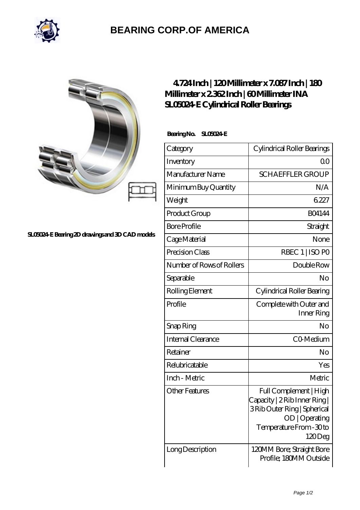

## **[BEARING CORP.OF AMERICA](https://bluemondayreview.com)**

| c |  |
|---|--|
|   |  |

## **[SL05024-E Bearing 2D drawings and 3D CAD models](https://bluemondayreview.com/pic-174848.html)**

## **[4.724 Inch | 120 Millimeter x 7.087 Inch | 180](https://bluemondayreview.com/bz-174848-ina-sl05024-e-cylindrical-roller-bearings.html) [Millimeter x 2.362 Inch | 60 Millimeter INA](https://bluemondayreview.com/bz-174848-ina-sl05024-e-cylindrical-roller-bearings.html) [SL05024-E Cylindrical Roller Bearings](https://bluemondayreview.com/bz-174848-ina-sl05024-e-cylindrical-roller-bearings.html)**

 **Bearing No. SL05024-E**

| Category                  | Cylindrical Roller Bearings                                                                                                                    |
|---------------------------|------------------------------------------------------------------------------------------------------------------------------------------------|
| Inventory                 | Q0                                                                                                                                             |
| Manufacturer Name         | <b>SCHAEFFLER GROUP</b>                                                                                                                        |
| Minimum Buy Quantity      | N/A                                                                                                                                            |
| Weight                    | 6227                                                                                                                                           |
| Product Group             | <b>BO4144</b>                                                                                                                                  |
| <b>Bore Profile</b>       | Straight                                                                                                                                       |
| Cage Material             | None                                                                                                                                           |
| Precision Class           | RBEC 1   ISO PO                                                                                                                                |
| Number of Rows of Rollers | Double Row                                                                                                                                     |
| Separable                 | No                                                                                                                                             |
| Rolling Element           | Cylindrical Roller Bearing                                                                                                                     |
| Profile                   | Complete with Outer and<br>Inner Ring                                                                                                          |
| Snap Ring                 | No                                                                                                                                             |
| <b>Internal Clearance</b> | CO-Medium                                                                                                                                      |
| Retainer                  | No                                                                                                                                             |
| Relubricatable            | Yes                                                                                                                                            |
| Inch - Metric             | Metric                                                                                                                                         |
| Other Features            | Full Complement   High<br>Capacity   2 Rib Inner Ring  <br>3Rib Outer Ring   Spherical<br>OD   Operating<br>Temperature From - 30 to<br>120Deg |
| Long Description          | 120MM Bore; Straight Bore<br>Profile; 180MM Outside                                                                                            |